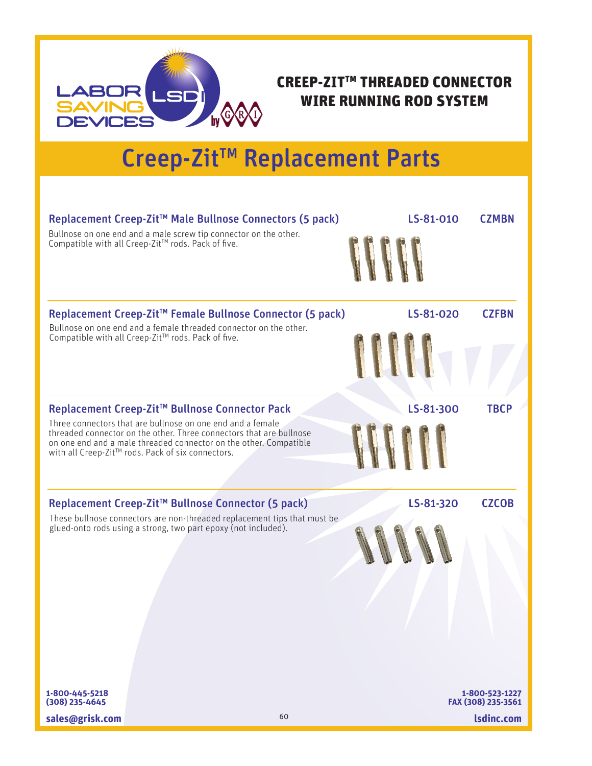

## CREEP-ZIT™ THREADED CONNECTOR WIRE RUNNING ROD SYSTEM

## Creep-Zit™ Replacement Parts